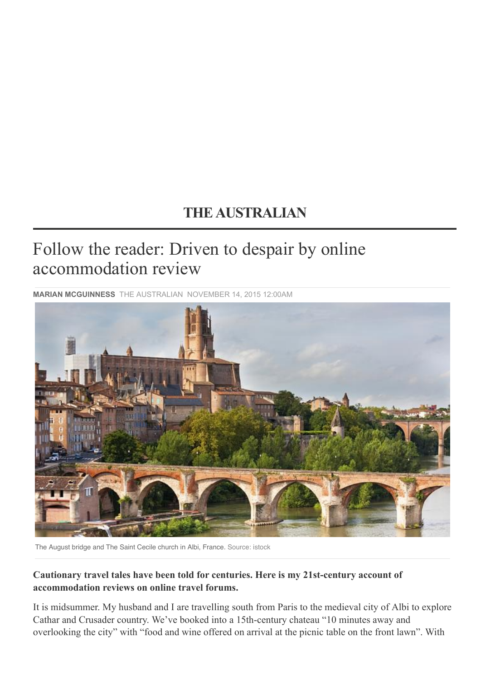## **[THE AUSTRALIAN](http://www.theaustralian.com.au/)**

## Follow the reader: Driven to despair by online accommodation review

**MARIAN MCGUINNESS** [THE AUSTRALIAN](http://www.theaustralian.com.au/) NOVEMBER 14, 2015 12:00AM



The August bridge and The Saint Cecile church in Albi, France. Source: istock

## **Cautionary travel tales have been told for centuries. Here is my 21st-century account of accommodation reviews on online travel forums.**

It is midsummer. My husband and I are travelling south from Paris to the medieval city of Albi to explore Cathar and Crusader country. We've booked into a 15th-century chateau "10 minutes away and overlooking the city" with "food and wine offered on arrival at the picnic table on the front lawn". With